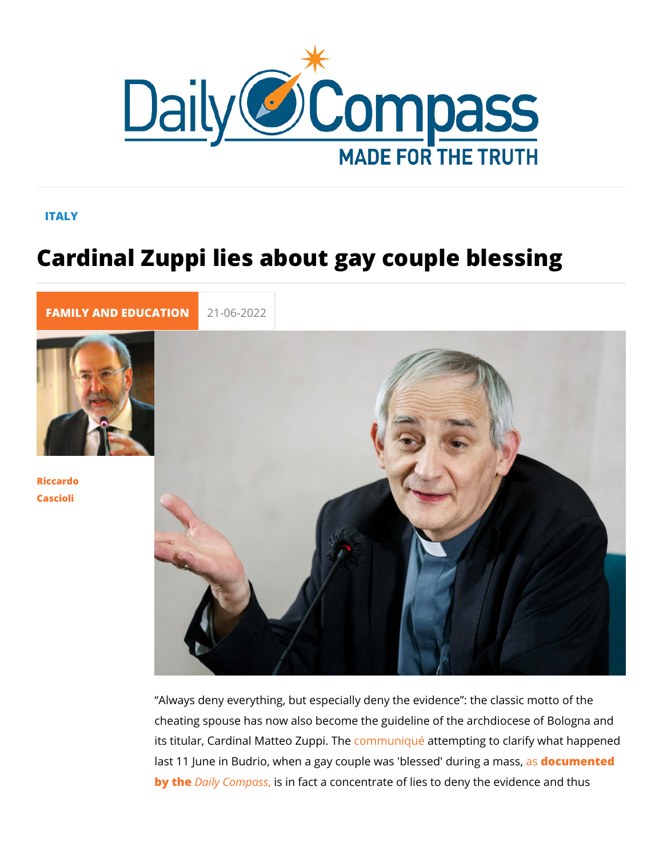## ITALY

## Cardinal Zuppi lies about gay couple b

[FAMILY AND EDUC](https://newdailycompass.com/en/family-and-education) 21-06-2022

[Riccar](/en/riccardo-cascioli)do [Casci](/en/riccardo-cascioli)oli

> Always deny everything, but especially deny the evidence : th cheating spouse has now also become the guideline of the arc its titular, Cardinal MatteonZuppiqaTthempting to clarify what ha last 11 June in Budrio, when a gay couple wasastolo esus meed the dring by thDaily Compsis fact a concentrate of lies to deny the evid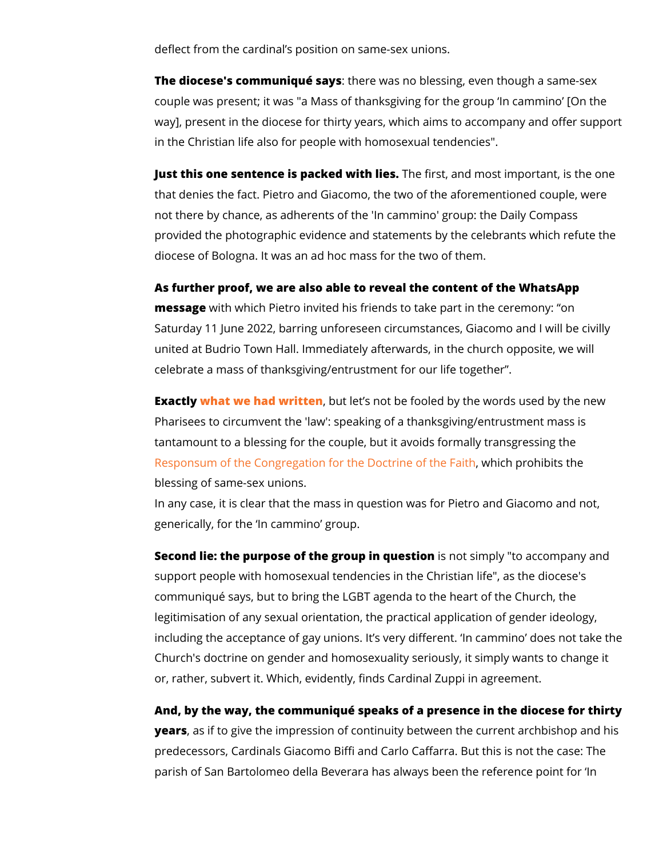deflect from the cardinal s position on same-sex unions.

The diocese's communiqute esraey was no blessing, even though a couple was present; it was "a Mass of thanksgiving for the gro way], present in the diocese for thirty years, which aims to ac in the Christian life also for people with homosexual tendencie

Just this one sentence is packed with sties and most important, is that denies the fact. Pietro and Giacomo, the two of the afore not there by chance, as adherents of the 'In cammino' group: t provided the photographic evidence and statements by the cele diocese of Bologna. It was an ad hoc mass for the two of them.

As further proof, we are also able to reveal the content of the messagweith which Pietro invited his friends to take part in the Saturday 11 June 2022, barring unforeseen circumstances, Gia united at Budrio Town Hall. Immediately afterwards, in the chu celebrate a mass of thanksgiving/entrustment for our life toge

Exact what we had writ bunt let s not be fooled by the words use Pharisees to circumvent the 'law': speaking of a thanksgiving/ tantamount to a blessing for the couple, but it avoids formally [Responsum of the Congregation for the](https://press.vatican.va/content/salastampa/it/bollettino/pubblico/2021/03/15/0157/00330.html#ing) Dwating in the tothing the state of the Responsum of the Congregation for the blessing of same-sex unions.

In any case, it is clear that the mass in question was for Pietr generically, for the In cammino group.

Second lie: the purpose of the groups imoquesion to accompany support people with homosexual tendencies in the Christian lif communiqué says, but to bring the LGBT agenda to the heart o legitimisation of any sexual orientation, the practical applicat including the acceptance of gay unions. It s very different. In Church's doctrine on gender and homosexuality seriously, it si or, rather, subvert it. Which, evidently, finds Cardinal Zuppi in

And, by the way, the communiqué speaks of a presence in the year, sas if to give the impression of continuity between the cu predecessors, Cardinals Giacomo Biffi and Carlo Caffarra. But parish of San Bartolomeo della Beverara has always been the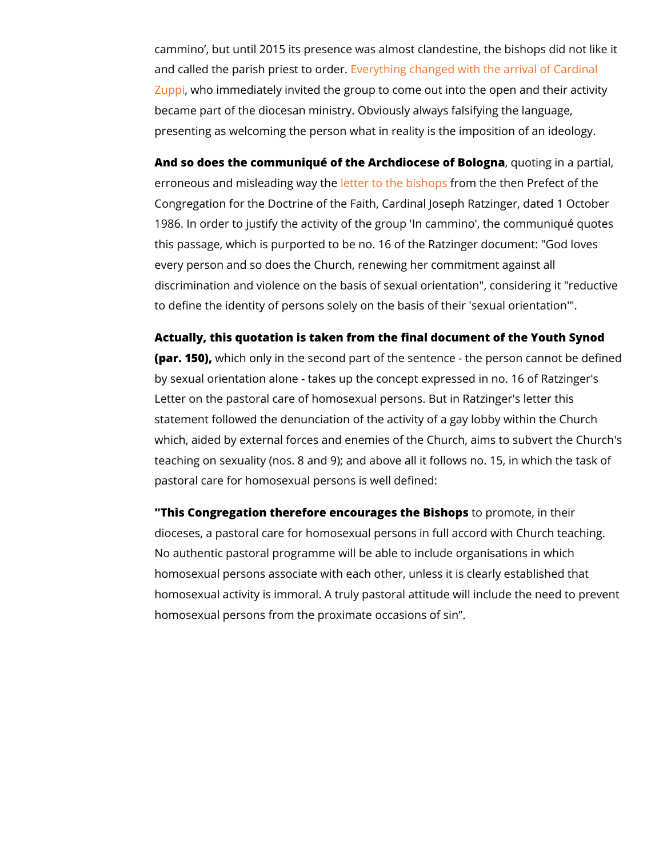cammino, but until 2015 its presence was almost clandestine, and called the parish pries set to order thanged with the arrival of [Zup](https://bologna.repubblica.it/cronaca/2016/05/17/news/gay_in_parrocchia_la_chiesa_ora_prega_contro_l_omofobia-139945240/)piwho immediately invited the group to come out into the o became part of the diocesan ministry. Obviously always falsify presenting as welcoming the person what in reality is the impo

And so does the communiqué of the Archdiocesse to in a partial, and in a partial,  $\alpha$ erroneous and misleadineg tway othee biso moptshe then Prefect of t Congregation for the Doctrine of the Faith, Cardinal Joseph Ration 1986. In order to justify the activity of the group 'In cammino' this passage, which is purported to be no. 16 of the Ratzinger every person and so does the Church, renewing her commitmer discrimination and violence on the basis of sexual orientation' to define the identity of persons solely on the basis of their 's

Actually, this quotation is taken from the final document of the (par. 15 $\mathcal{C}$ ), ich only in the second part of the sentence - the person cannot be defined by  $\mathcal{C}$ by sexual orientation alone - takes up the concept expressed i Letter on the pastoral care of homosexual persons. But in Rat: statement followed the denunciation of the activity of a gay lo which, aided by external forces and enemies of the Church, ai teaching on sexuality (nos. 8 and 9); and above all it follows  $\overline{\phantom{a}}$ pastoral care for homosexual persons is well defined:

"This Congregation therefore encouragets the Boinstheopism their dioceses, a pastoral care for homosexual persons in full accor No authentic pastoral programme will be able to include organ homosexual persons associate with each other, unless it is cle homosexual activity is immoral. A truly pastoral attitude will i homosexual persons from the proximate occasions of sin .